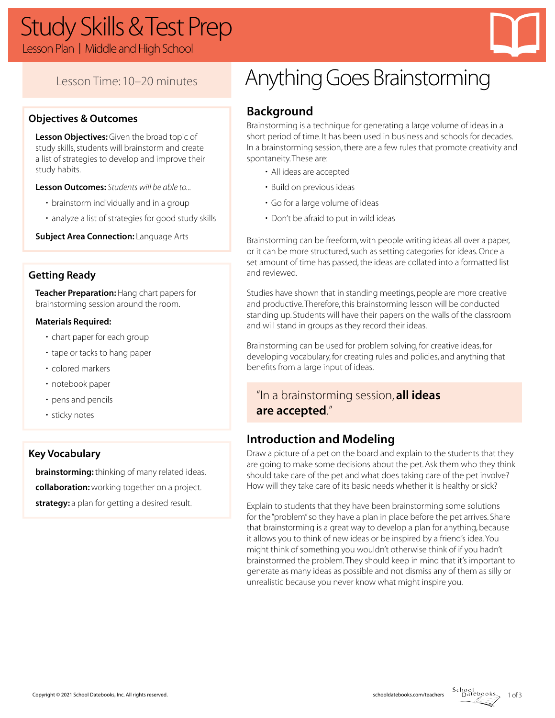# Study Skills & Test Prep

Lesson Plan | Middle and High School



# Lesson Time: 10–20 minutes

### **Objectives & Outcomes**

**Lesson Objectives:** Given the broad topic of study skills, students will brainstorm and create a list of strategies to develop and improve their study habits.

**Lesson Outcomes:** *Students will be able to...*

- brainstorm individually and in a group
- analyze a list of strategies for good study skills

**Subject Area Connection: Language Arts** 

### **Getting Ready**

**Teacher Preparation:** Hang chart papers for brainstorming session around the room.

#### **Materials Required:**

- chart paper for each group
- tape or tacks to hang paper
- colored markers
- notebook paper
- pens and pencils
- sticky notes

### **Key Vocabulary**

**brainstorming:** thinking of many related ideas. **collaboration:** working together on a project. **strategy:** a plan for getting a desired result.

# Anything Goes Brainstorming

# **Background**

Brainstorming is a technique for generating a large volume of ideas in a short period of time. It has been used in business and schools for decades. In a brainstorming session, there are a few rules that promote creativity and spontaneity. These are:

- All ideas are accepted
- Build on previous ideas
- Go for a large volume of ideas
- Don't be afraid to put in wild ideas

Brainstorming can be freeform, with people writing ideas all over a paper, or it can be more structured, such as setting categories for ideas. Once a set amount of time has passed, the ideas are collated into a formatted list and reviewed.

Studies have shown that in standing meetings, people are more creative and productive. Therefore, this brainstorming lesson will be conducted standing up. Students will have their papers on the walls of the classroom and will stand in groups as they record their ideas.

Brainstorming can be used for problem solving, for creative ideas, for developing vocabulary, for creating rules and policies, and anything that benefits from a large input of ideas.

# "In a brainstorming session, **all ideas are accepted**."

# **Introduction and Modeling**

Draw a picture of a pet on the board and explain to the students that they are going to make some decisions about the pet. Ask them who they think should take care of the pet and what does taking care of the pet involve? How will they take care of its basic needs whether it is healthy or sick?

Explain to students that they have been brainstorming some solutions for the "problem" so they have a plan in place before the pet arrives. Share that brainstorming is a great way to develop a plan for anything, because it allows you to think of new ideas or be inspired by a friend's idea. You might think of something you wouldn't otherwise think of if you hadn't brainstormed the problem. They should keep in mind that it's important to generate as many ideas as possible and not dismiss any of them as silly or unrealistic because you never know what might inspire you.

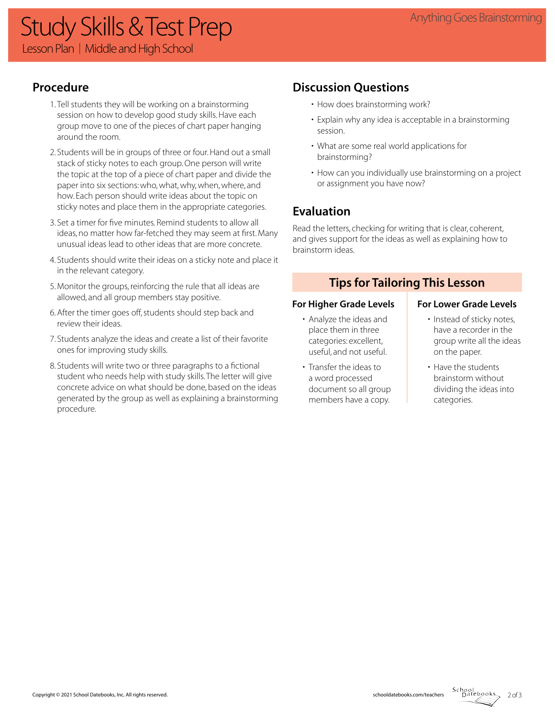# Anything Goes Brainstorming Study Skills & Test Prep Lesson Plan | Middle and High School

# **Procedure**

- 1. Tell students they will be working on a brainstorming session on how to develop good study skills. Have each group move to one of the pieces of chart paper hanging around the room.
- 2. Students will be in groups of three or four. Hand out a small stack of sticky notes to each group. One person will write the topic at the top of a piece of chart paper and divide the paper into six sections: who, what, why, when, where, and how. Each person should write ideas about the topic on sticky notes and place them in the appropriate categories.
- 3. Set a timer for five minutes. Remind students to allow all ideas, no matter how far-fetched they may seem at first. Many unusual ideas lead to other ideas that are more concrete.
- 4. Students should write their ideas on a sticky note and place it in the relevant category.
- 5. Monitor the groups, reinforcing the rule that all ideas are allowed, and all group members stay positive.
- 6. After the timer goes off, students should step back and review their ideas.
- 7. Students analyze the ideas and create a list of their favorite ones for improving study skills.
- 8. Students will write two or three paragraphs to a fictional student who needs help with study skills. The letter will give concrete advice on what should be done, based on the ideas generated by the group as well as explaining a brainstorming procedure.

# **Discussion Questions**

- How does brainstorming work?
- Explain why any idea is acceptable in a brainstorming session.
- What are some real world applications for brainstorming?
- How can you individually use brainstorming on a project or assignment you have now?

# **Evaluation**

Read the letters, checking for writing that is clear, coherent, and gives support for the ideas as well as explaining how to brainstorm ideas.

## **Tips for Tailoring This Lesson**

#### For Higher Grade Levels **For Lower Grade Levels**

- Analyze the ideas and place them in three categories: excellent, useful, and not useful.
- Transfer the ideas to a word processed document so all group members have a copy.

- Instead of sticky notes, have a recorder in the group write all the ideas on the paper.
- Have the students brainstorm without dividing the ideas into categories.